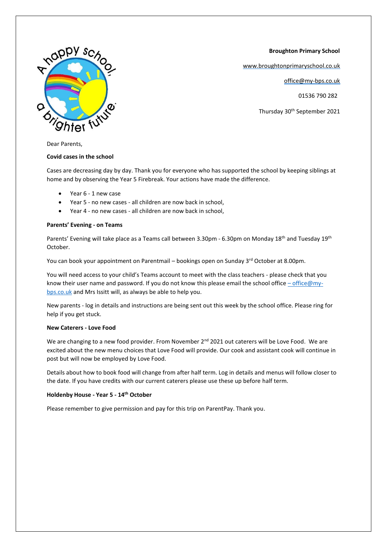**Broughton Primary School**

[www.broughtonprimaryschool.co.uk](http://www.broughtonprimaryschool.co.uk/)

office@my-bps.co.uk

01536 790 282

Thursday 30<sup>th</sup> September 2021



Dear Parents,

### **Covid cases in the school**

Cases are decreasing day by day. Thank you for everyone who has supported the school by keeping siblings at home and by observing the Year 5 Firebreak. Your actions have made the difference.

- Year 6 1 new case
- Year 5 no new cases all children are now back in school,
- Year 4 no new cases all children are now back in school,

### **Parents' Evening - on Teams**

Parents' Evening will take place as a Teams call between 3.30pm - 6.30pm on Monday 18<sup>th</sup> and Tuesday 19<sup>th</sup> October.

You can book your appointment on Parentmail – bookings open on Sunday  $3<sup>rd</sup>$  October at 8.00pm.

You will need access to your child's Teams account to meet with the class teachers - please check that you know their user name and password. If you do not know this please email the school office – [office@my](mailto:–%20office@my-bps.co.uk)[bps.co.uk](mailto:–%20office@my-bps.co.uk) and Mrs Issitt will, as always be able to help you.

New parents - log in details and instructions are being sent out this week by the school office. Please ring for help if you get stuck.

### **New Caterers - Love Food**

We are changing to a new food provider. From November 2<sup>nd</sup> 2021 out caterers will be Love Food. We are excited about the new menu choices that Love Food will provide. Our cook and assistant cook will continue in post but will now be employed by Love Food.

Details about how to book food will change from after half term. Log in details and menus will follow closer to the date. If you have credits with our current caterers please use these up before half term.

### **Holdenby House - Year 5 - 14th October**

Please remember to give permission and pay for this trip on ParentPay. Thank you.